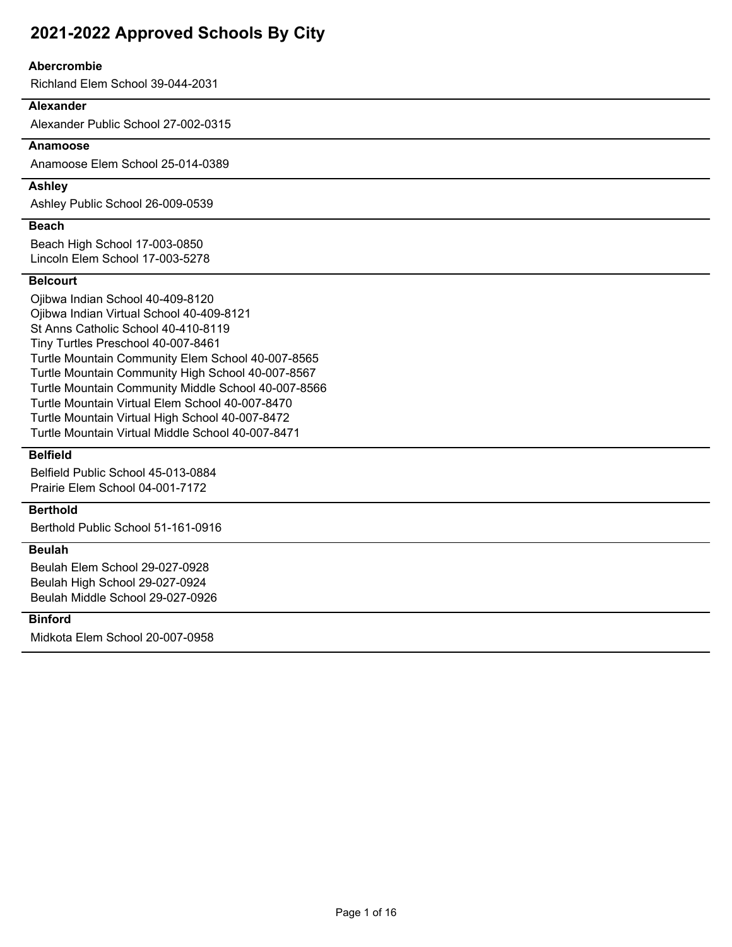### **Abercrombie**

Richland Elem School 39-044-2031

### **Alexander**

Alexander Public School 27-002-0315

## **Anamoose**

Anamoose Elem School 25-014-0389

## **Ashley**

Ashley Public School 26-009-0539

#### **Beach**

Beach High School 17-003-0850 Lincoln Elem School 17-003-5278

#### **Belcourt**

Ojibwa Indian School 40-409-8120 Ojibwa Indian Virtual School 40-409-8121 St Anns Catholic School 40-410-8119 Tiny Turtles Preschool 40-007-8461 Turtle Mountain Community Elem School 40-007-8565 Turtle Mountain Community High School 40-007-8567 Turtle Mountain Community Middle School 40-007-8566 Turtle Mountain Virtual Elem School 40-007-8470 Turtle Mountain Virtual High School 40-007-8472 Turtle Mountain Virtual Middle School 40-007-8471

## **Belfield**

Belfield Public School 45-013-0884 Prairie Elem School 04-001-7172

## **Berthold**

Berthold Public School 51-161-0916

### **Beulah**

Beulah Elem School 29-027-0928 Beulah High School 29-027-0924 Beulah Middle School 29-027-0926

### **Binford**

Midkota Elem School 20-007-0958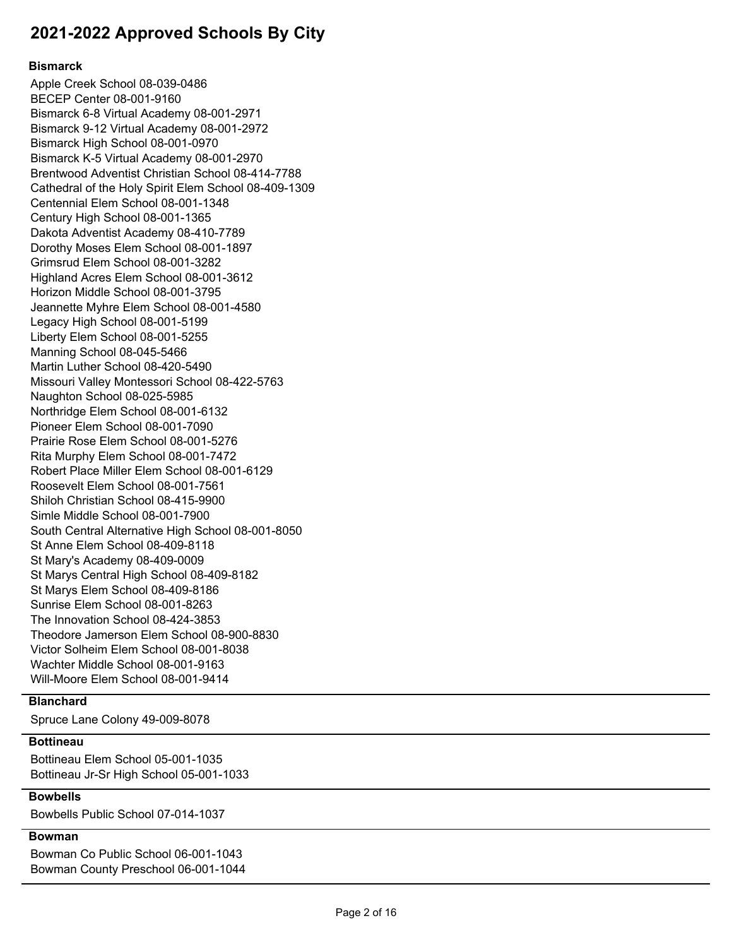## **Bismarck**

Apple Creek School 08-039-0486 BECEP Center 08-001-9160 Bismarck 6-8 Virtual Academy 08-001-2971 Bismarck 9-12 Virtual Academy 08-001-2972 Bismarck High School 08-001-0970 Bismarck K-5 Virtual Academy 08-001-2970 Brentwood Adventist Christian School 08-414-7788 Cathedral of the Holy Spirit Elem School 08-409-1309 Centennial Elem School 08-001-1348 Century High School 08-001-1365 Dakota Adventist Academy 08-410-7789 Dorothy Moses Elem School 08-001-1897 Grimsrud Elem School 08-001-3282 Highland Acres Elem School 08-001-3612 Horizon Middle School 08-001-3795 Jeannette Myhre Elem School 08-001-4580 Legacy High School 08-001-5199 Liberty Elem School 08-001-5255 Manning School 08-045-5466 Martin Luther School 08-420-5490 Missouri Valley Montessori School 08-422-5763 Naughton School 08-025-5985 Northridge Elem School 08-001-6132 Pioneer Elem School 08-001-7090 Prairie Rose Elem School 08-001-5276 Rita Murphy Elem School 08-001-7472 Robert Place Miller Elem School 08-001-6129 Roosevelt Elem School 08-001-7561 Shiloh Christian School 08-415-9900 Simle Middle School 08-001-7900 South Central Alternative High School 08-001-8050 St Anne Elem School 08-409-8118 St Mary's Academy 08-409-0009 St Marys Central High School 08-409-8182 St Marys Elem School 08-409-8186 Sunrise Elem School 08-001-8263 The Innovation School 08-424-3853 Theodore Jamerson Elem School 08-900-8830 Victor Solheim Elem School 08-001-8038 Wachter Middle School 08-001-9163 Will-Moore Elem School 08-001-9414

## **Blanchard**

Spruce Lane Colony 49-009-8078

#### **Bottineau**

Bottineau Elem School 05-001-1035 Bottineau Jr-Sr High School 05-001-1033

## **Bowbells**

Bowbells Public School 07-014-1037

## **Bowman**

Bowman Co Public School 06-001-1043 Bowman County Preschool 06-001-1044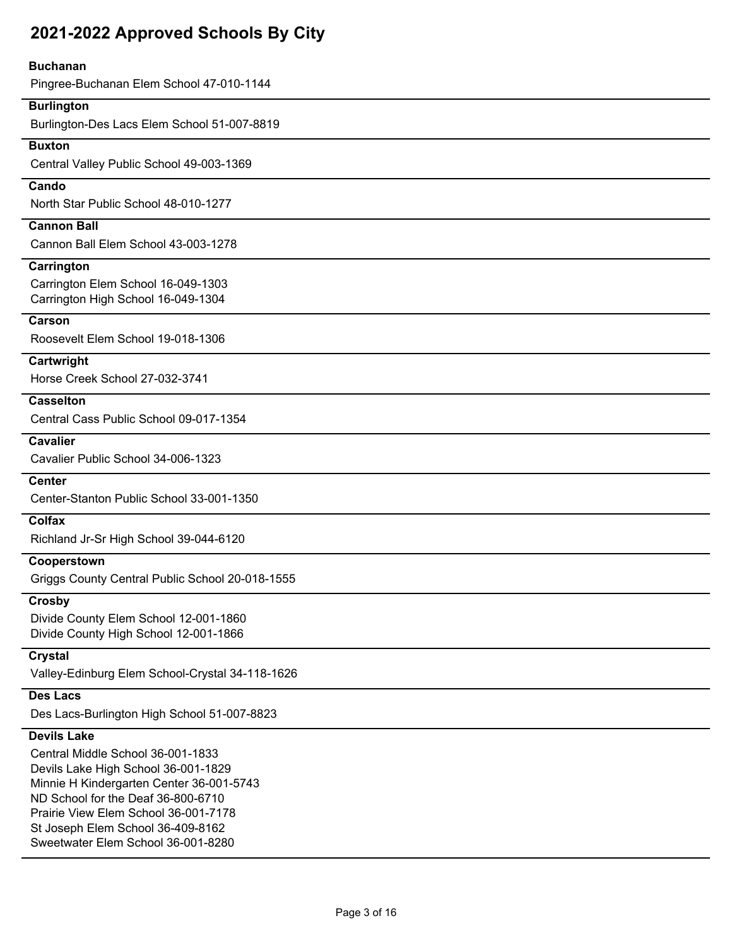#### **Buchanan**

Pingree-Buchanan Elem School 47-010-1144

## **Burlington**

Burlington-Des Lacs Elem School 51-007-8819

## **Buxton**

Central Valley Public School 49-003-1369

## **Cando**

North Star Public School 48-010-1277

# **Cannon Ball**

Cannon Ball Elem School 43-003-1278

### **Carrington**

Carrington Elem School 16-049-1303 Carrington High School 16-049-1304

#### **Carson**

Roosevelt Elem School 19-018-1306

#### **Cartwright**

Horse Creek School 27-032-3741

### **Casselton**

Central Cass Public School 09-017-1354

# **Cavalier**

Cavalier Public School 34-006-1323

## **Center**

Center-Stanton Public School 33-001-1350

## **Colfax**

Richland Jr-Sr High School 39-044-6120

## **Cooperstown**

Griggs County Central Public School 20-018-1555

## **Crosby**

Divide County Elem School 12-001-1860 Divide County High School 12-001-1866

#### **Crystal**

Valley-Edinburg Elem School-Crystal 34-118-1626

## **Des Lacs**

Des Lacs-Burlington High School 51-007-8823

## **Devils Lake**

Central Middle School 36-001-1833 Devils Lake High School 36-001-1829 Minnie H Kindergarten Center 36-001-5743 ND School for the Deaf 36-800-6710 Prairie View Elem School 36-001-7178 St Joseph Elem School 36-409-8162 Sweetwater Elem School 36-001-8280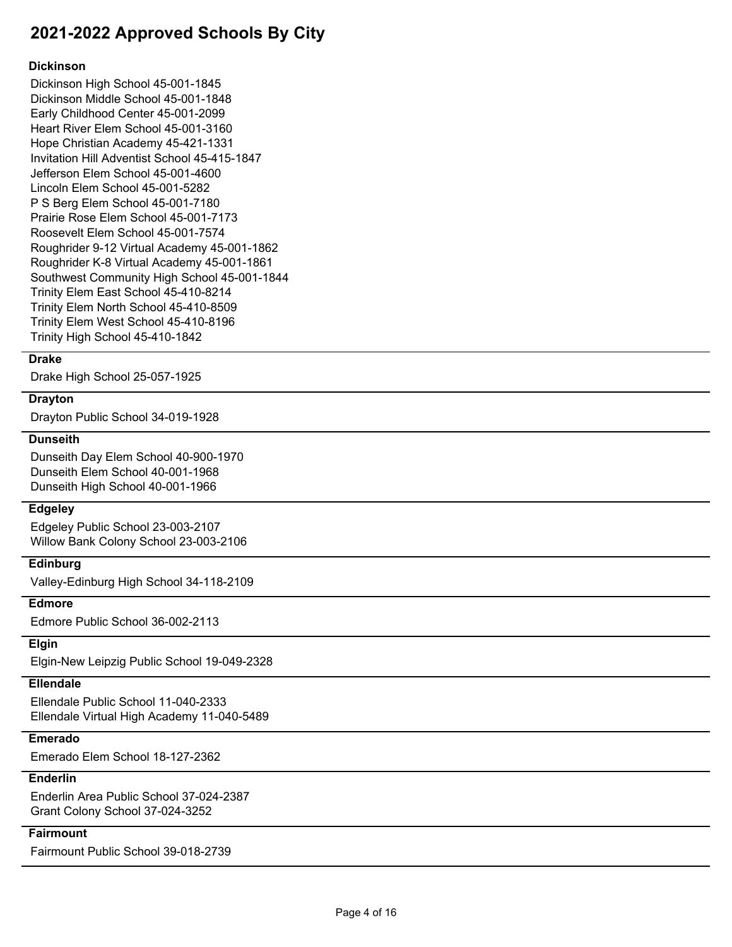### **Dickinson**

Dickinson High School 45-001-1845 Dickinson Middle School 45-001-1848 Early Childhood Center 45-001-2099 Heart River Elem School 45-001-3160 Hope Christian Academy 45-421-1331 Invitation Hill Adventist School 45-415-1847 Jefferson Elem School 45-001-4600 Lincoln Elem School 45-001-5282 P S Berg Elem School 45-001-7180 Prairie Rose Elem School 45-001-7173 Roosevelt Elem School 45-001-7574 Roughrider 9-12 Virtual Academy 45-001-1862 Roughrider K-8 Virtual Academy 45-001-1861 Southwest Community High School 45-001-1844 Trinity Elem East School 45-410-8214 Trinity Elem North School 45-410-8509 Trinity Elem West School 45-410-8196 Trinity High School 45-410-1842

#### **Drake**

Drake High School 25-057-1925

#### **Drayton**

Drayton Public School 34-019-1928

## **Dunseith**

Dunseith Day Elem School 40-900-1970 Dunseith Elem School 40-001-1968 Dunseith High School 40-001-1966

#### **Edgeley**

Edgeley Public School 23-003-2107 Willow Bank Colony School 23-003-2106

## **Edinburg**

Valley-Edinburg High School 34-118-2109

#### **Edmore**

Edmore Public School 36-002-2113

#### **Elgin**

Elgin-New Leipzig Public School 19-049-2328

## **Ellendale**

Ellendale Public School 11-040-2333 Ellendale Virtual High Academy 11-040-5489

# **Emerado**

Emerado Elem School 18-127-2362

# **Enderlin**

Enderlin Area Public School 37-024-2387 Grant Colony School 37-024-3252

# **Fairmount**

Fairmount Public School 39-018-2739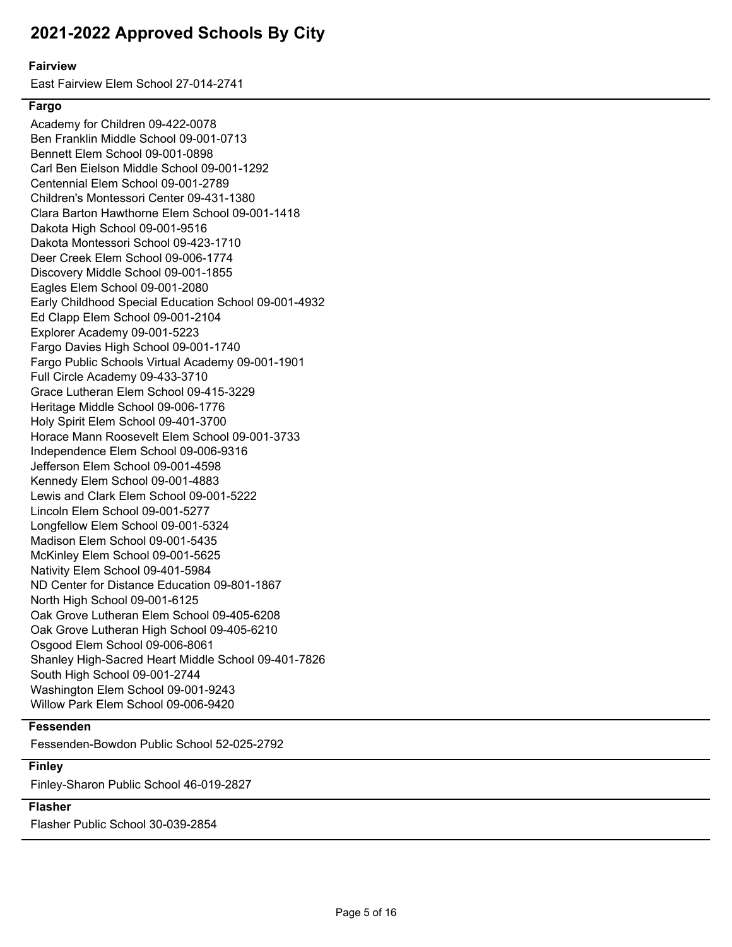#### **Fairview**

East Fairview Elem School 27-014-2741

#### **Fargo**

Academy for Children 09-422-0078 Ben Franklin Middle School 09-001-0713 Bennett Elem School 09-001-0898 Carl Ben Eielson Middle School 09-001-1292 Centennial Elem School 09-001-2789 Children's Montessori Center 09-431-1380 Clara Barton Hawthorne Elem School 09-001-1418 Dakota High School 09-001-9516 Dakota Montessori School 09-423-1710 Deer Creek Elem School 09-006-1774 Discovery Middle School 09-001-1855 Eagles Elem School 09-001-2080 Early Childhood Special Education School 09-001-4932 Ed Clapp Elem School 09-001-2104 Explorer Academy 09-001-5223 Fargo Davies High School 09-001-1740 Fargo Public Schools Virtual Academy 09-001-1901 Full Circle Academy 09-433-3710 Grace Lutheran Elem School 09-415-3229 Heritage Middle School 09-006-1776 Holy Spirit Elem School 09-401-3700 Horace Mann Roosevelt Elem School 09-001-3733 Independence Elem School 09-006-9316 Jefferson Elem School 09-001-4598 Kennedy Elem School 09-001-4883 Lewis and Clark Elem School 09-001-5222 Lincoln Elem School 09-001-5277 Longfellow Elem School 09-001-5324 Madison Elem School 09-001-5435 McKinley Elem School 09-001-5625 Nativity Elem School 09-401-5984 ND Center for Distance Education 09-801-1867 North High School 09-001-6125 Oak Grove Lutheran Elem School 09-405-6208 Oak Grove Lutheran High School 09-405-6210 Osgood Elem School 09-006-8061 Shanley High-Sacred Heart Middle School 09-401-7826 South High School 09-001-2744 Washington Elem School 09-001-9243 Willow Park Elem School 09-006-9420

### **Fessenden**

Fessenden-Bowdon Public School 52-025-2792

## **Finley**

Finley-Sharon Public School 46-019-2827

# **Flasher**

Flasher Public School 30-039-2854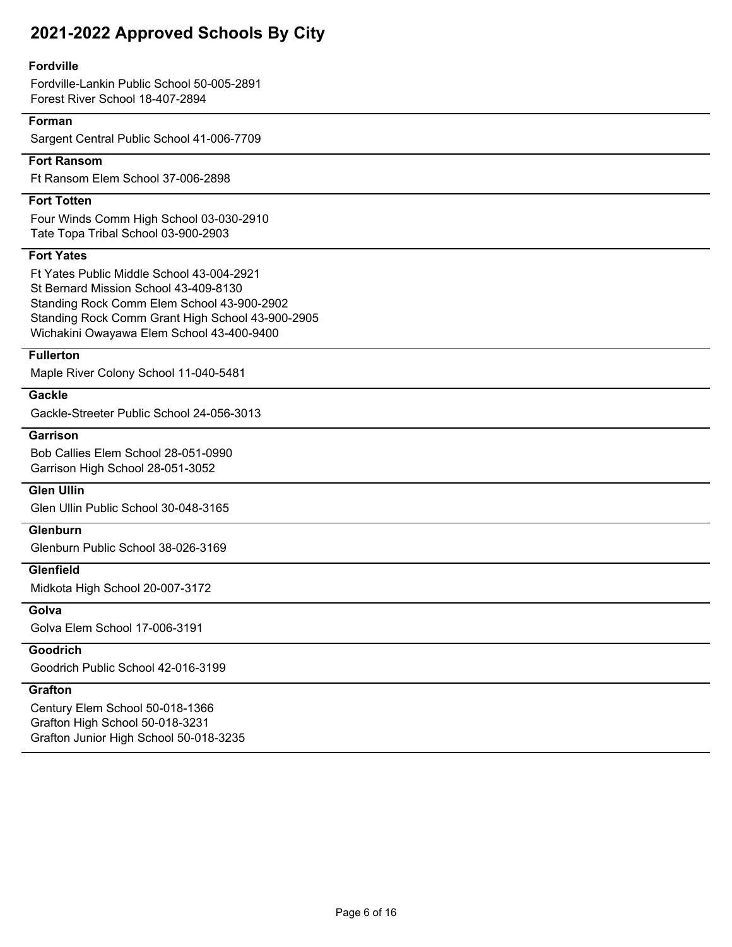#### **Fordville**

Fordville-Lankin Public School 50-005-2891 Forest River School 18-407-2894

## **Forman**

Sargent Central Public School 41-006-7709

#### **Fort Ransom**

Ft Ransom Elem School 37-006-2898

## **Fort Totten**

Four Winds Comm High School 03-030-2910 Tate Topa Tribal School 03-900-2903

## **Fort Yates**

Ft Yates Public Middle School 43-004-2921 St Bernard Mission School 43-409-8130 Standing Rock Comm Elem School 43-900-2902 Standing Rock Comm Grant High School 43-900-2905 Wichakini Owayawa Elem School 43-400-9400

# **Fullerton**

Maple River Colony School 11-040-5481

# **Gackle**

Gackle-Streeter Public School 24-056-3013

# **Garrison**

Bob Callies Elem School 28-051-0990 Garrison High School 28-051-3052

## **Glen Ullin**

Glen Ullin Public School 30-048-3165

## **Glenburn**

Glenburn Public School 38-026-3169

#### **Glenfield**

Midkota High School 20-007-3172

#### **Golva**

Golva Elem School 17-006-3191

# **Goodrich**

Goodrich Public School 42-016-3199

# **Grafton**

Century Elem School 50-018-1366 Grafton High School 50-018-3231 Grafton Junior High School 50-018-3235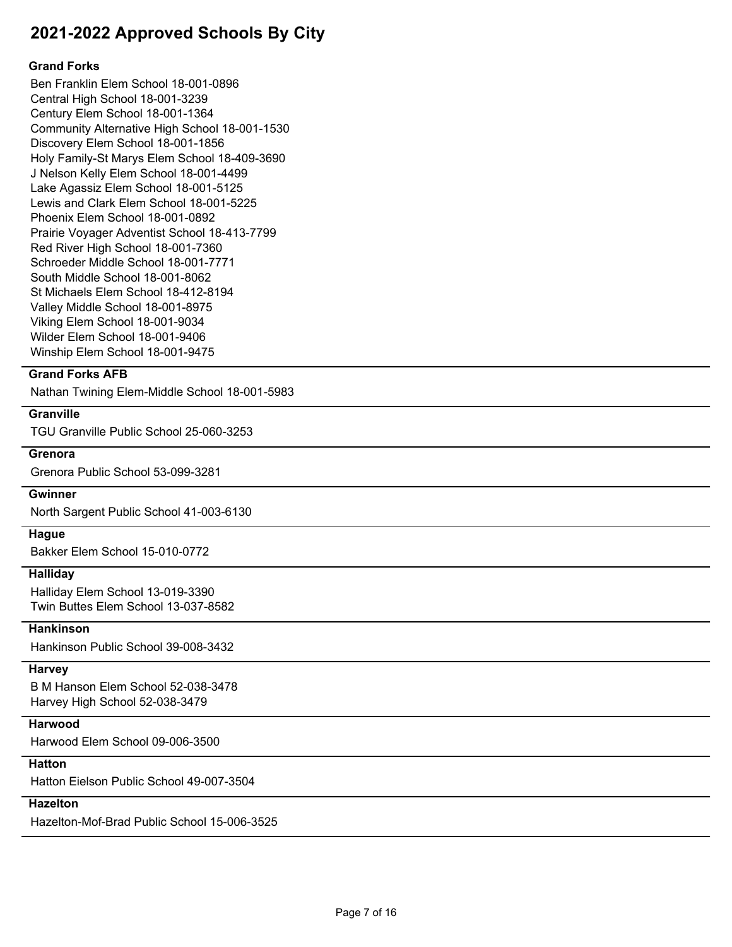#### **Grand Forks**

Ben Franklin Elem School 18-001-0896 Central High School 18-001-3239 Century Elem School 18-001-1364 Community Alternative High School 18-001-1530 Discovery Elem School 18-001-1856 Holy Family-St Marys Elem School 18-409-3690 J Nelson Kelly Elem School 18-001-4499 Lake Agassiz Elem School 18-001-5125 Lewis and Clark Elem School 18-001-5225 Phoenix Elem School 18-001-0892 Prairie Voyager Adventist School 18-413-7799 Red River High School 18-001-7360 Schroeder Middle School 18-001-7771 South Middle School 18-001-8062 St Michaels Elem School 18-412-8194 Valley Middle School 18-001-8975 Viking Elem School 18-001-9034 Wilder Elem School 18-001-9406 Winship Elem School 18-001-9475

## **Grand Forks AFB**

Nathan Twining Elem-Middle School 18-001-5983

## **Granville**

TGU Granville Public School 25-060-3253

#### **Grenora**

Grenora Public School 53-099-3281

#### **Gwinner**

North Sargent Public School 41-003-6130

#### **Hague**

Bakker Elem School 15-010-0772

#### **Halliday**

Halliday Elem School 13-019-3390 Twin Buttes Elem School 13-037-8582

#### **Hankinson**

Hankinson Public School 39-008-3432

## **Harvey**

B M Hanson Elem School 52-038-3478 Harvey High School 52-038-3479

### **Harwood**

Harwood Elem School 09-006-3500

## **Hatton**

Hatton Eielson Public School 49-007-3504

#### **Hazelton**

Hazelton-Mof-Brad Public School 15-006-3525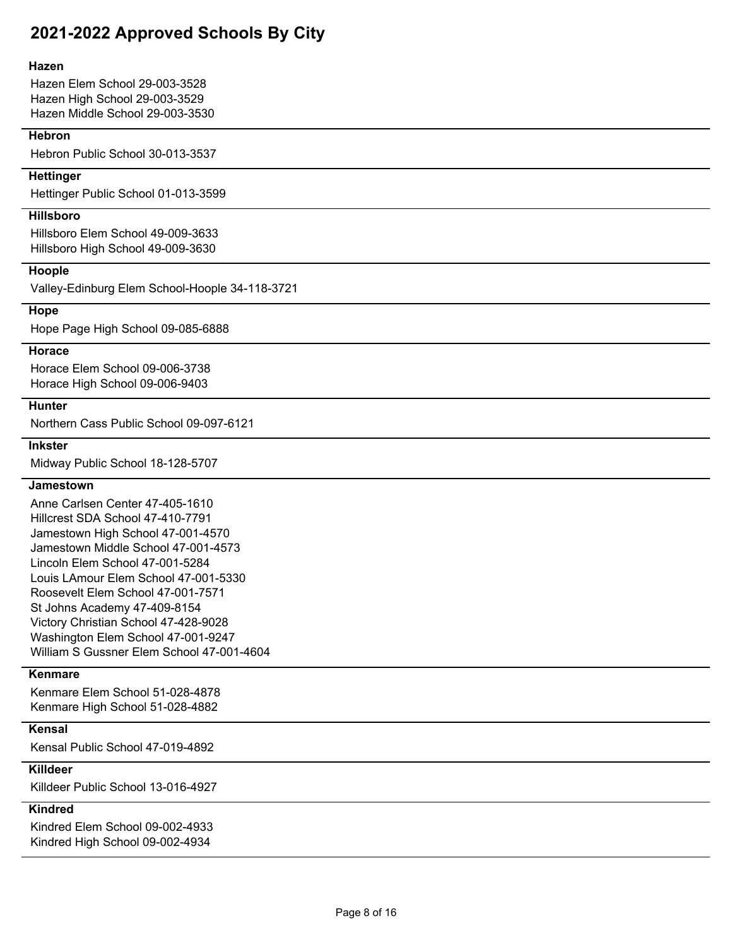#### **Hazen**

Hazen Elem School 29-003-3528 Hazen High School 29-003-3529 Hazen Middle School 29-003-3530

#### **Hebron**

Hebron Public School 30-013-3537

#### **Hettinger**

Hettinger Public School 01-013-3599

#### **Hillsboro**

Hillsboro Elem School 49-009-3633 Hillsboro High School 49-009-3630

#### **Hoople**

Valley-Edinburg Elem School-Hoople 34-118-3721

#### **Hope**

Hope Page High School 09-085-6888

#### **Horace**

Horace Elem School 09-006-3738 Horace High School 09-006-9403

#### **Hunter**

Northern Cass Public School 09-097-6121

#### **Inkster**

Midway Public School 18-128-5707

#### **Jamestown**

Anne Carlsen Center 47-405-1610 Hillcrest SDA School 47-410-7791 Jamestown High School 47-001-4570 Jamestown Middle School 47-001-4573 Lincoln Elem School 47-001-5284 Louis LAmour Elem School 47-001-5330 Roosevelt Elem School 47-001-7571 St Johns Academy 47-409-8154 Victory Christian School 47-428-9028 Washington Elem School 47-001-9247 William S Gussner Elem School 47-001-4604

## **Kenmare**

Kenmare Elem School 51-028-4878 Kenmare High School 51-028-4882

## **Kensal**

Kensal Public School 47-019-4892

# **Killdeer**

Killdeer Public School 13-016-4927

# **Kindred**

Kindred Elem School 09-002-4933 Kindred High School 09-002-4934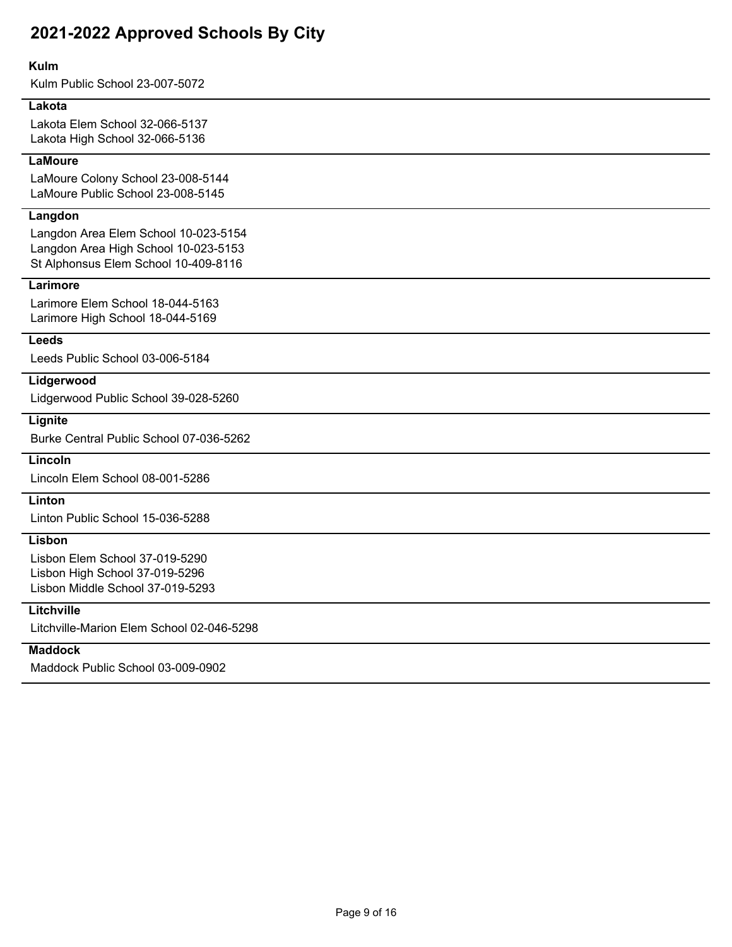#### **Kulm**

Kulm Public School 23-007-5072

#### **Lakota**

Lakota Elem School 32-066-5137 Lakota High School 32-066-5136

## **LaMoure**

LaMoure Colony School 23-008-5144 LaMoure Public School 23-008-5145

## **Langdon**

Langdon Area Elem School 10-023-5154 Langdon Area High School 10-023-5153 St Alphonsus Elem School 10-409-8116

## **Larimore**

Larimore Elem School 18-044-5163 Larimore High School 18-044-5169

#### **Leeds**

Leeds Public School 03-006-5184

#### **Lidgerwood**

Lidgerwood Public School 39-028-5260

# **Lignite**

Burke Central Public School 07-036-5262

# **Lincoln**

Lincoln Elem School 08-001-5286

# **Linton**

Linton Public School 15-036-5288

# **Lisbon**

Lisbon Elem School 37-019-5290 Lisbon High School 37-019-5296 Lisbon Middle School 37-019-5293

#### **Litchville**

Litchville-Marion Elem School 02-046-5298

## **Maddock**

Maddock Public School 03-009-0902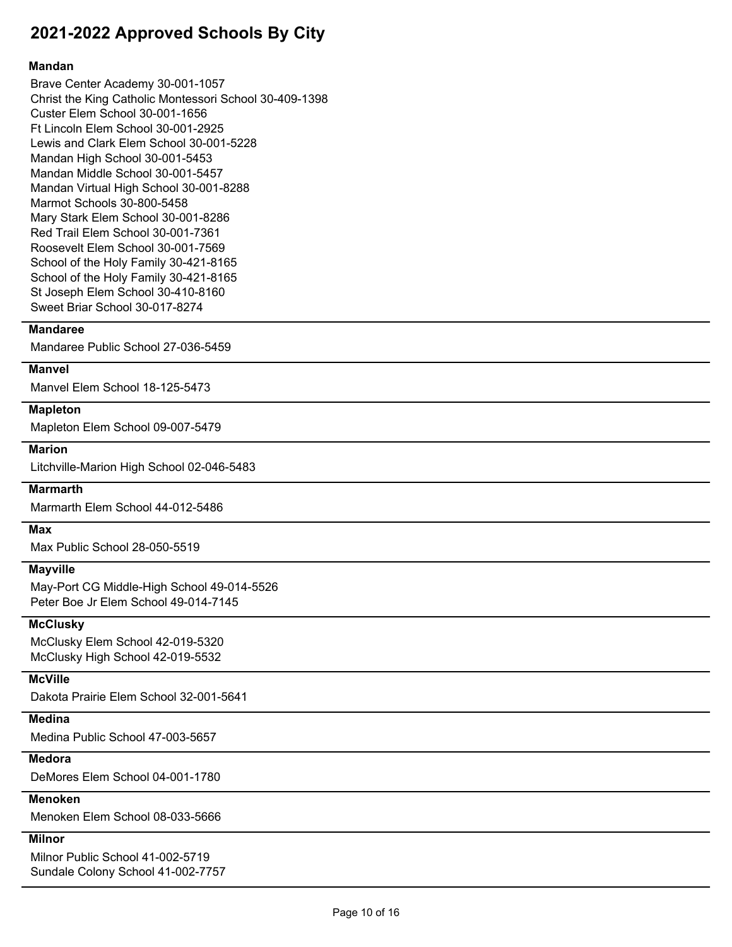#### **Mandan**

Brave Center Academy 30-001-1057 Christ the King Catholic Montessori School 30-409-1398 Custer Elem School 30-001-1656 Ft Lincoln Elem School 30-001-2925 Lewis and Clark Elem School 30-001-5228 Mandan High School 30-001-5453 Mandan Middle School 30-001-5457 Mandan Virtual High School 30-001-8288 Marmot Schools 30-800-5458 Mary Stark Elem School 30-001-8286 Red Trail Elem School 30-001-7361 Roosevelt Elem School 30-001-7569 School of the Holy Family 30-421-8165 School of the Holy Family 30-421-8165 St Joseph Elem School 30-410-8160 Sweet Briar School 30-017-8274

## **Mandaree**

Mandaree Public School 27-036-5459

#### **Manvel**

Manvel Elem School 18-125-5473

#### **Mapleton**

Mapleton Elem School 09-007-5479

#### **Marion**

Litchville-Marion High School 02-046-5483

## **Marmarth**

Marmarth Elem School 44-012-5486

#### **Max**

Max Public School 28-050-5519

#### **Mayville**

May-Port CG Middle-High School 49-014-5526 Peter Boe Jr Elem School 49-014-7145

## **McClusky**

McClusky Elem School 42-019-5320 McClusky High School 42-019-5532

## **McVille**

Dakota Prairie Elem School 32-001-5641

# **Medina**

Medina Public School 47-003-5657

## **Medora**

DeMores Elem School 04-001-1780

# **Menoken**

Menoken Elem School 08-033-5666

## **Milnor**

Milnor Public School 41-002-5719 Sundale Colony School 41-002-7757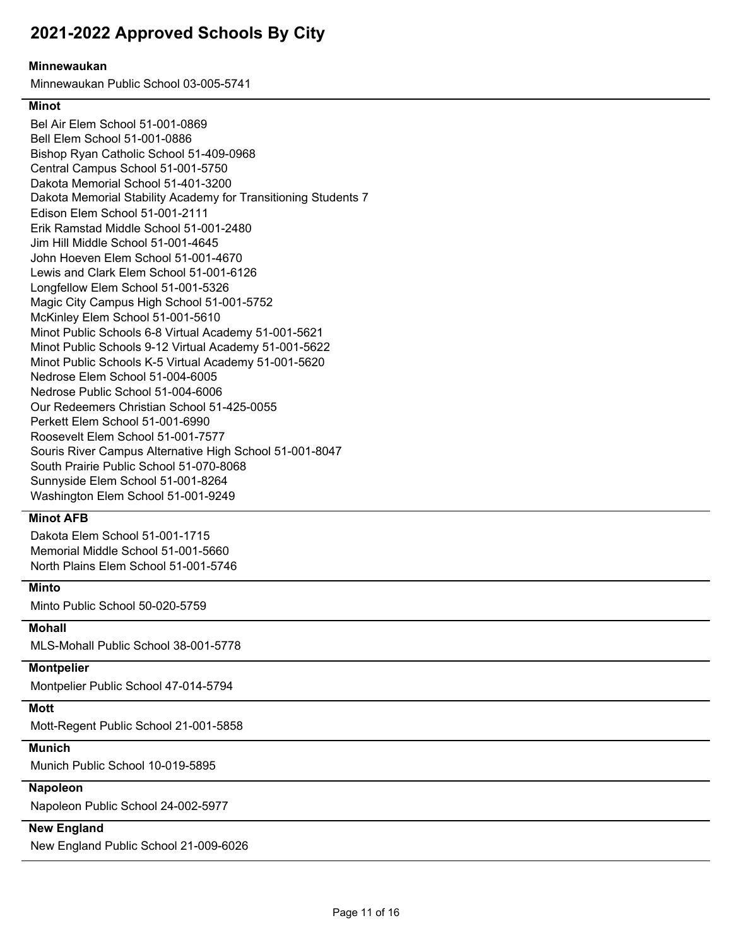#### **Minnewaukan**

Minnewaukan Public School 03-005-5741

## **Minot**

Dakota Memorial Stability Academy for Transitioning Students 7 Bel Air Elem School 51-001-0869 Bell Elem School 51-001-0886 Bishop Ryan Catholic School 51-409-0968 Central Campus School 51-001-5750 Dakota Memorial School 51-401-3200 Edison Elem School 51-001-2111 Erik Ramstad Middle School 51-001-2480 Jim Hill Middle School 51-001-4645 John Hoeven Elem School 51-001-4670 Lewis and Clark Elem School 51-001-6126 Longfellow Elem School 51-001-5326 Magic City Campus High School 51-001-5752 McKinley Elem School 51-001-5610 Minot Public Schools 6-8 Virtual Academy 51-001-5621 Minot Public Schools 9-12 Virtual Academy 51-001-5622 Minot Public Schools K-5 Virtual Academy 51-001-5620 Nedrose Elem School 51-004-6005 Nedrose Public School 51-004-6006 Our Redeemers Christian School 51-425-0055 Perkett Elem School 51-001-6990 Roosevelt Elem School 51-001-7577 Souris River Campus Alternative High School 51-001-8047 South Prairie Public School 51-070-8068 Sunnyside Elem School 51-001-8264 Washington Elem School 51-001-9249

### **Minot AFB**

Dakota Elem School 51-001-1715 Memorial Middle School 51-001-5660 North Plains Elem School 51-001-5746

#### **Minto**

Minto Public School 50-020-5759

#### **Mohall**

MLS-Mohall Public School 38-001-5778

## **Montpelier**

Montpelier Public School 47-014-5794

# **Mott**

Mott-Regent Public School 21-001-5858

# **Munich**

Munich Public School 10-019-5895

## **Napoleon**

Napoleon Public School 24-002-5977

# **New England**

New England Public School 21-009-6026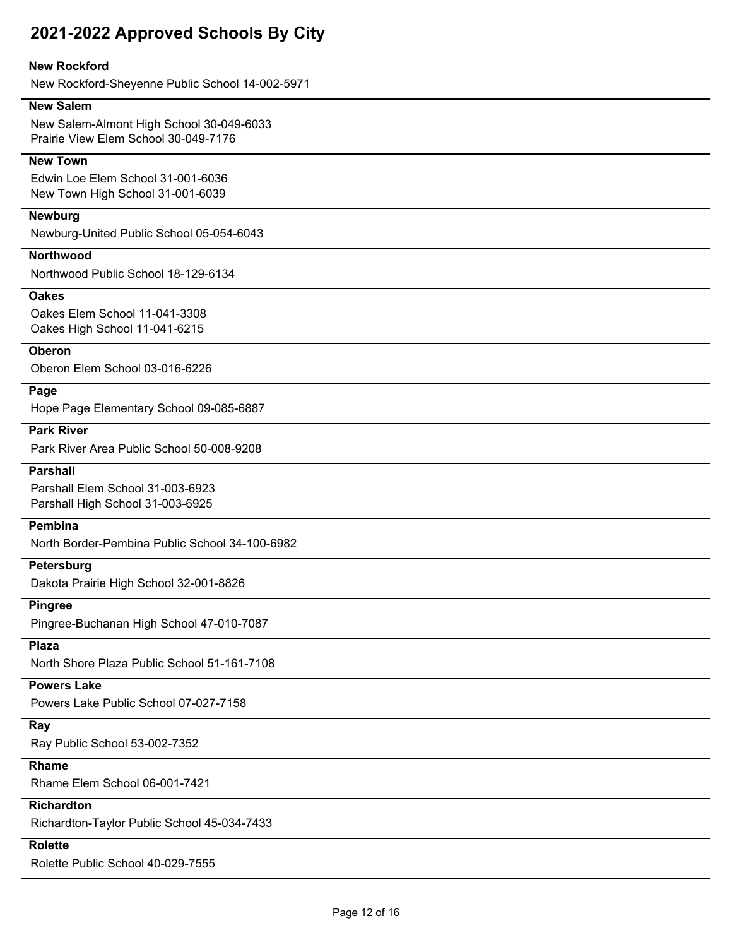## **New Rockford**

New Rockford-Sheyenne Public School 14-002-5971

### **New Salem**

New Salem-Almont High School 30-049-6033 Prairie View Elem School 30-049-7176

## **New Town**

Edwin Loe Elem School 31-001-6036 New Town High School 31-001-6039

#### **Newburg**

Newburg-United Public School 05-054-6043

## **Northwood**

Northwood Public School 18-129-6134

#### **Oakes**

Oakes Elem School 11-041-3308 Oakes High School 11-041-6215

#### **Oberon**

Oberon Elem School 03-016-6226

### **Page**

Hope Page Elementary School 09-085-6887

#### **Park River**

Park River Area Public School 50-008-9208

#### **Parshall**

Parshall Elem School 31-003-6923 Parshall High School 31-003-6925

## **Pembina**

North Border-Pembina Public School 34-100-6982

## **Petersburg**

Dakota Prairie High School 32-001-8826

#### **Pingree**

Pingree-Buchanan High School 47-010-7087

## **Plaza**

North Shore Plaza Public School 51-161-7108

#### **Powers Lake**

Powers Lake Public School 07-027-7158

#### **Ray**

Ray Public School 53-002-7352

## **Rhame**

Rhame Elem School 06-001-7421

#### **Richardton**

Richardton-Taylor Public School 45-034-7433

## **Rolette**

Rolette Public School 40-029-7555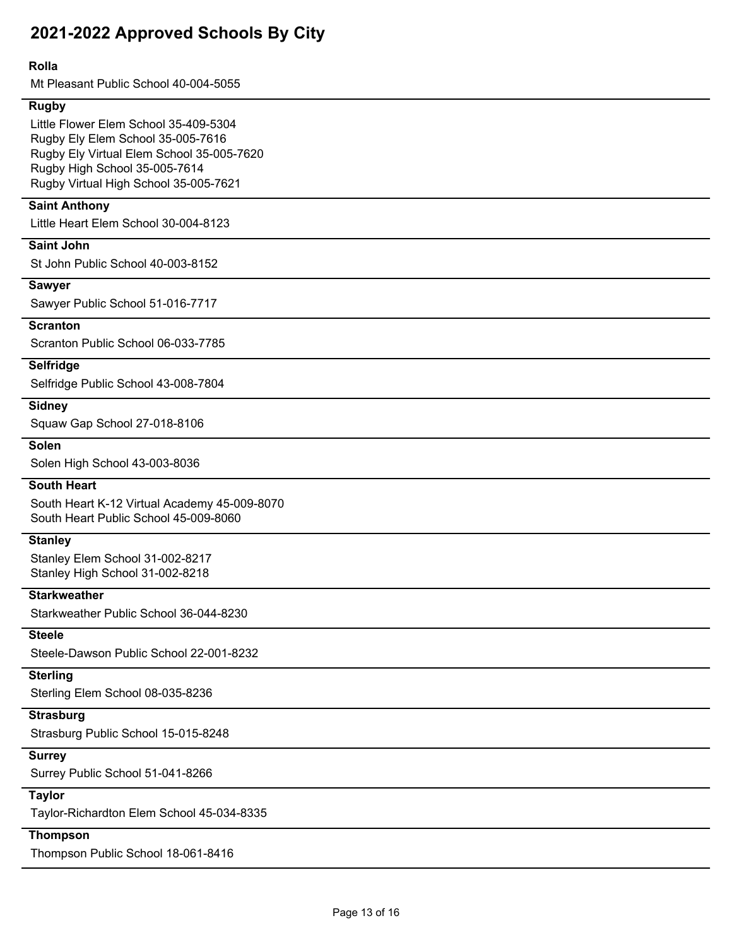### **Rolla**

Mt Pleasant Public School 40-004-5055

#### **Rugby**

Little Flower Elem School 35-409-5304 Rugby Ely Elem School 35-005-7616 Rugby Ely Virtual Elem School 35-005-7620 Rugby High School 35-005-7614 Rugby Virtual High School 35-005-7621

## **Saint Anthony**

Little Heart Elem School 30-004-8123

## **Saint John**

St John Public School 40-003-8152

#### **Sawyer**

Sawyer Public School 51-016-7717

#### **Scranton**

Scranton Public School 06-033-7785

## **Selfridge**

Selfridge Public School 43-008-7804

#### **Sidney**

Squaw Gap School 27-018-8106

#### **Solen**

Solen High School 43-003-8036

#### **South Heart**

South Heart K-12 Virtual Academy 45-009-8070 South Heart Public School 45-009-8060

## **Stanley**

Stanley Elem School 31-002-8217 Stanley High School 31-002-8218

## **Starkweather**

Starkweather Public School 36-044-8230

## **Steele**

Steele-Dawson Public School 22-001-8232

## **Sterling**

Sterling Elem School 08-035-8236

## **Strasburg**

Strasburg Public School 15-015-8248

# **Surrey**

Surrey Public School 51-041-8266

# **Taylor**

Taylor-Richardton Elem School 45-034-8335

# **Thompson**

Thompson Public School 18-061-8416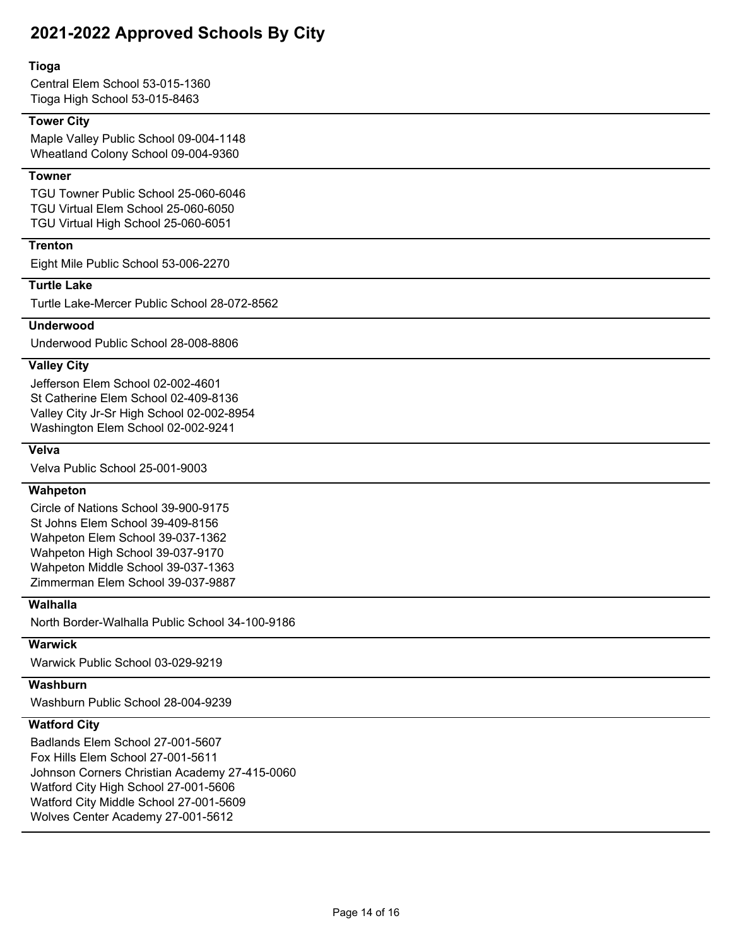#### **Tioga**

Central Elem School 53-015-1360 Tioga High School 53-015-8463

## **Tower City**

Maple Valley Public School 09-004-1148 Wheatland Colony School 09-004-9360

#### **Towner**

TGU Towner Public School 25-060-6046 TGU Virtual Elem School 25-060-6050 TGU Virtual High School 25-060-6051

## **Trenton**

Eight Mile Public School 53-006-2270

## **Turtle Lake**

Turtle Lake-Mercer Public School 28-072-8562

## **Underwood**

Underwood Public School 28-008-8806

## **Valley City**

Jefferson Elem School 02-002-4601 St Catherine Elem School 02-409-8136 Valley City Jr-Sr High School 02-002-8954 Washington Elem School 02-002-9241

## **Velva**

Velva Public School 25-001-9003

#### **Wahpeton**

Circle of Nations School 39-900-9175 St Johns Elem School 39-409-8156 Wahpeton Elem School 39-037-1362 Wahpeton High School 39-037-9170 Wahpeton Middle School 39-037-1363 Zimmerman Elem School 39-037-9887

## **Walhalla**

North Border-Walhalla Public School 34-100-9186

#### **Warwick**

Warwick Public School 03-029-9219

## **Washburn**

Washburn Public School 28-004-9239

## **Watford City**

Badlands Elem School 27-001-5607 Fox Hills Elem School 27-001-5611 Johnson Corners Christian Academy 27-415-0060 Watford City High School 27-001-5606 Watford City Middle School 27-001-5609 Wolves Center Academy 27-001-5612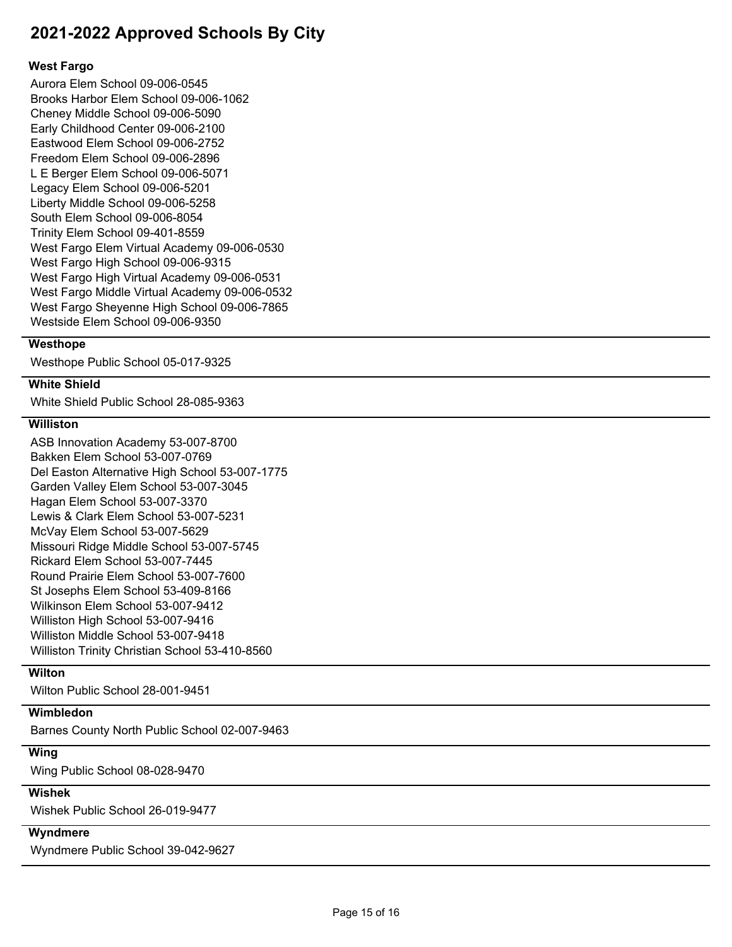#### **West Fargo**

Aurora Elem School 09-006-0545 Brooks Harbor Elem School 09-006-1062 Cheney Middle School 09-006-5090 Early Childhood Center 09-006-2100 Eastwood Elem School 09-006-2752 Freedom Elem School 09-006-2896 L E Berger Elem School 09-006-5071 Legacy Elem School 09-006-5201 Liberty Middle School 09-006-5258 South Elem School 09-006-8054 Trinity Elem School 09-401-8559 West Fargo Elem Virtual Academy 09-006-0530 West Fargo High School 09-006-9315 West Fargo High Virtual Academy 09-006-0531 West Fargo Middle Virtual Academy 09-006-0532 West Fargo Sheyenne High School 09-006-7865 Westside Elem School 09-006-9350

#### **Westhope**

Westhope Public School 05-017-9325

# **White Shield**

White Shield Public School 28-085-9363

## **Williston**

ASB Innovation Academy 53-007-8700 Bakken Elem School 53-007-0769 Del Easton Alternative High School 53-007-1775 Garden Valley Elem School 53-007-3045 Hagan Elem School 53-007-3370 Lewis & Clark Elem School 53-007-5231 McVay Elem School 53-007-5629 Missouri Ridge Middle School 53-007-5745 Rickard Elem School 53-007-7445 Round Prairie Elem School 53-007-7600 St Josephs Elem School 53-409-8166 Wilkinson Elem School 53-007-9412 Williston High School 53-007-9416 Williston Middle School 53-007-9418 Williston Trinity Christian School 53-410-8560

## **Wilton**

Wilton Public School 28-001-9451

## **Wimbledon**

Barnes County North Public School 02-007-9463

#### **Wing**

Wing Public School 08-028-9470

## **Wishek**

Wishek Public School 26-019-9477

#### **Wyndmere**

Wyndmere Public School 39-042-9627